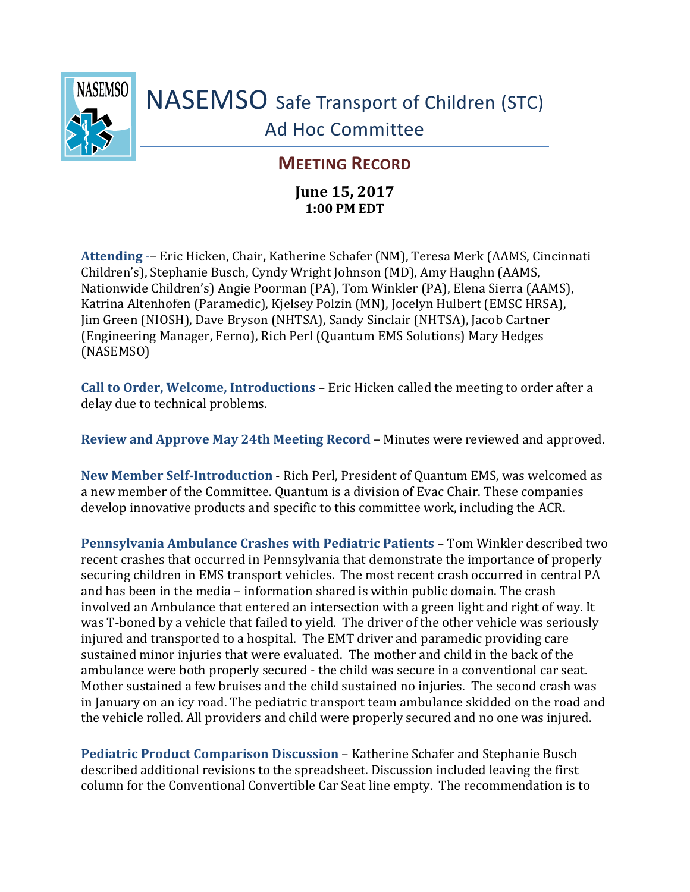

## NASEMSO Safe Transport of Children (STC) Ad Hoc Committee

## **MEETING RECORD**

## **June 15, 2017 1:00 PM EDT**

**Attending** -– Eric Hicken, Chair**,** Katherine Schafer (NM), Teresa Merk (AAMS, Cincinnati Children's), Stephanie Busch, Cyndy Wright Johnson (MD), Amy Haughn (AAMS, Nationwide Children's) Angie Poorman (PA), Tom Winkler (PA), Elena Sierra (AAMS), Katrina Altenhofen (Paramedic), Kjelsey Polzin (MN), Jocelyn Hulbert (EMSC HRSA), Jim Green (NIOSH), Dave Bryson (NHTSA), Sandy Sinclair (NHTSA), Jacob Cartner (Engineering Manager, Ferno), Rich Perl (Quantum EMS Solutions) Mary Hedges (NASEMSO)

**Call to Order, Welcome, Introductions** – Eric Hicken called the meeting to order after a delay due to technical problems.

**Review and Approve May 24th Meeting Record** – Minutes were reviewed and approved.

**New Member Self-Introduction** - Rich Perl, President of Quantum EMS, was welcomed as a new member of the Committee. Quantum is a division of Evac Chair. These companies develop innovative products and specific to this committee work, including the ACR.

**Pennsylvania Ambulance Crashes with Pediatric Patients** – Tom Winkler described two recent crashes that occurred in Pennsylvania that demonstrate the importance of properly securing children in EMS transport vehicles. The most recent crash occurred in central PA and has been in the media – information shared is within public domain. The crash involved an Ambulance that entered an intersection with a green light and right of way. It was T-boned by a vehicle that failed to yield. The driver of the other vehicle was seriously injured and transported to a hospital. The EMT driver and paramedic providing care sustained minor injuries that were evaluated. The mother and child in the back of the ambulance were both properly secured - the child was secure in a conventional car seat. Mother sustained a few bruises and the child sustained no injuries. The second crash was in January on an icy road. The pediatric transport team ambulance skidded on the road and the vehicle rolled. All providers and child were properly secured and no one was injured.

**Pediatric Product Comparison Discussion** – Katherine Schafer and Stephanie Busch described additional revisions to the spreadsheet. Discussion included leaving the first column for the Conventional Convertible Car Seat line empty. The recommendation is to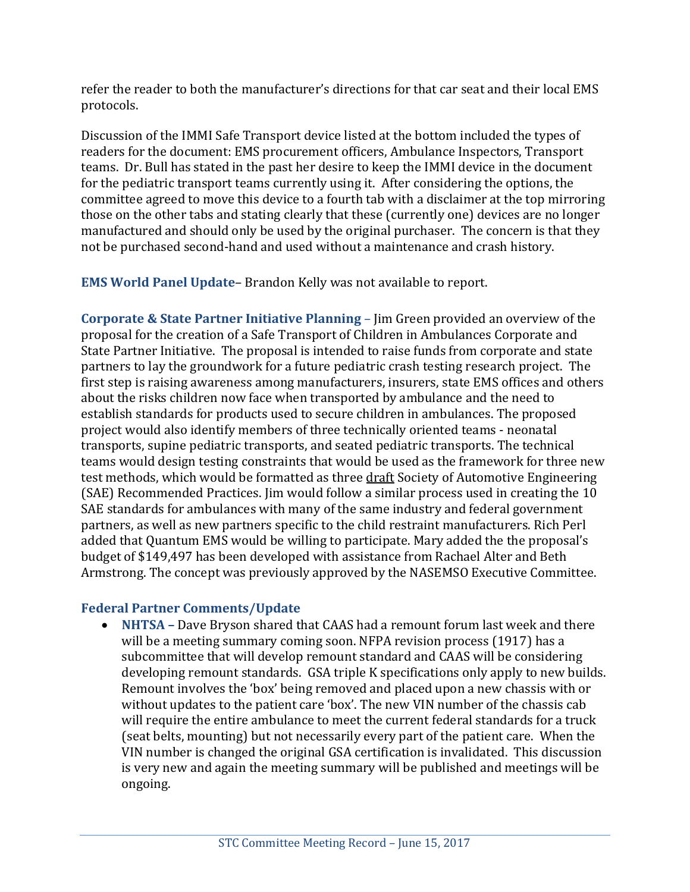refer the reader to both the manufacturer's directions for that car seat and their local EMS protocols.

Discussion of the IMMI Safe Transport device listed at the bottom included the types of readers for the document: EMS procurement officers, Ambulance Inspectors, Transport teams. Dr. Bull has stated in the past her desire to keep the IMMI device in the document for the pediatric transport teams currently using it. After considering the options, the committee agreed to move this device to a fourth tab with a disclaimer at the top mirroring those on the other tabs and stating clearly that these (currently one) devices are no longer manufactured and should only be used by the original purchaser. The concern is that they not be purchased second-hand and used without a maintenance and crash history.

**EMS World Panel Update**– Brandon Kelly was not available to report.

**Corporate & State Partner Initiative Planning** – Jim Green provided an overview of the proposal for the creation of a Safe Transport of Children in Ambulances Corporate and State Partner Initiative. The proposal is intended to raise funds from corporate and state partners to lay the groundwork for a future pediatric crash testing research project. The first step is raising awareness among manufacturers, insurers, state EMS offices and others about the risks children now face when transported by ambulance and the need to establish standards for products used to secure children in ambulances. The proposed project would also identify members of three technically oriented teams - neonatal transports, supine pediatric transports, and seated pediatric transports. The technical teams would design testing constraints that would be used as the framework for three new test methods, which would be formatted as three draft Society of Automotive Engineering (SAE) Recommended Practices. Jim would follow a similar process used in creating the 10 SAE standards for ambulances with many of the same industry and federal government partners, as well as new partners specific to the child restraint manufacturers. Rich Perl added that Quantum EMS would be willing to participate. Mary added the the proposal's budget of \$149,497 has been developed with assistance from Rachael Alter and Beth Armstrong. The concept was previously approved by the NASEMSO Executive Committee.

## **Federal Partner Comments/Update**

 **NHTSA –** Dave Bryson shared that CAAS had a remount forum last week and there will be a meeting summary coming soon. NFPA revision process (1917) has a subcommittee that will develop remount standard and CAAS will be considering developing remount standards. GSA triple K specifications only apply to new builds. Remount involves the 'box' being removed and placed upon a new chassis with or without updates to the patient care 'box'. The new VIN number of the chassis cab will require the entire ambulance to meet the current federal standards for a truck (seat belts, mounting) but not necessarily every part of the patient care. When the VIN number is changed the original GSA certification is invalidated. This discussion is very new and again the meeting summary will be published and meetings will be ongoing.